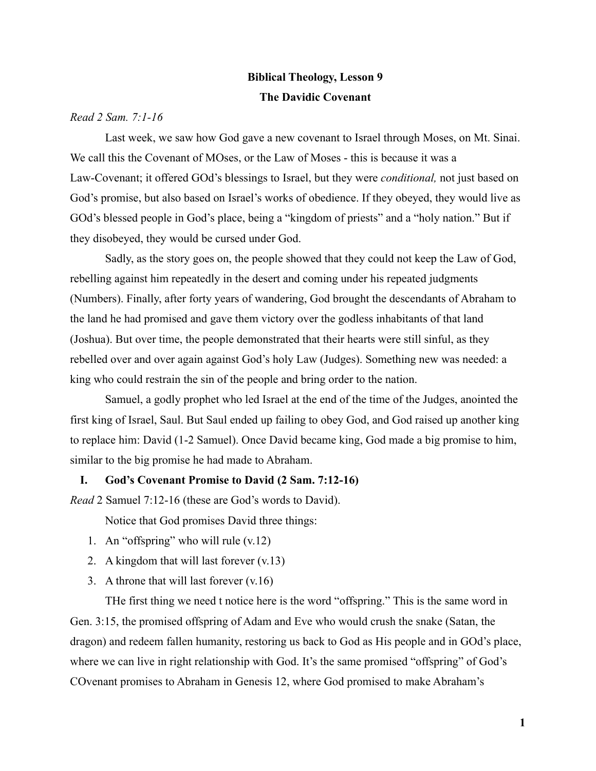# **Biblical Theology, Lesson 9 The Davidic Covenant**

## *Read 2 Sam. 7:1-16*

Last week, we saw how God gave a new covenant to Israel through Moses, on Mt. Sinai. We call this the Covenant of MOses, or the Law of Moses - this is because it was a Law-Covenant; it offered GOd's blessings to Israel, but they were *conditional,* not just based on God's promise, but also based on Israel's works of obedience. If they obeyed, they would live as GOd's blessed people in God's place, being a "kingdom of priests" and a "holy nation." But if they disobeyed, they would be cursed under God.

Sadly, as the story goes on, the people showed that they could not keep the Law of God, rebelling against him repeatedly in the desert and coming under his repeated judgments (Numbers). Finally, after forty years of wandering, God brought the descendants of Abraham to the land he had promised and gave them victory over the godless inhabitants of that land (Joshua). But over time, the people demonstrated that their hearts were still sinful, as they rebelled over and over again against God's holy Law (Judges). Something new was needed: a king who could restrain the sin of the people and bring order to the nation.

Samuel, a godly prophet who led Israel at the end of the time of the Judges, anointed the first king of Israel, Saul. But Saul ended up failing to obey God, and God raised up another king to replace him: David (1-2 Samuel). Once David became king, God made a big promise to him, similar to the big promise he had made to Abraham.

#### **I. God's Covenant Promise to David (2 Sam. 7:12-16)**

*Read* 2 Samuel 7:12-16 (these are God's words to David).

Notice that God promises David three things:

- 1. An "offspring" who will rule (v.12)
- 2. A kingdom that will last forever (v.13)
- 3. A throne that will last forever (v.16)

THe first thing we need t notice here is the word "offspring." This is the same word in Gen. 3:15, the promised offspring of Adam and Eve who would crush the snake (Satan, the dragon) and redeem fallen humanity, restoring us back to God as His people and in GOd's place, where we can live in right relationship with God. It's the same promised "offspring" of God's COvenant promises to Abraham in Genesis 12, where God promised to make Abraham's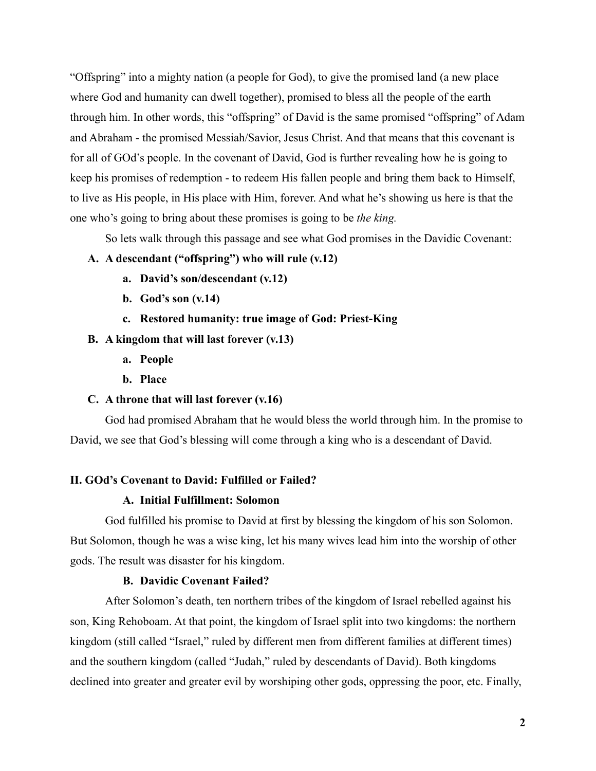"Offspring" into a mighty nation (a people for God), to give the promised land (a new place where God and humanity can dwell together), promised to bless all the people of the earth through him. In other words, this "offspring" of David is the same promised "offspring" of Adam and Abraham - the promised Messiah/Savior, Jesus Christ. And that means that this covenant is for all of GOd's people. In the covenant of David, God is further revealing how he is going to keep his promises of redemption - to redeem His fallen people and bring them back to Himself, to live as His people, in His place with Him, forever. And what he's showing us here is that the one who's going to bring about these promises is going to be *the king.*

So lets walk through this passage and see what God promises in the Davidic Covenant:

#### **A. A descendant ("offspring") who will rule (v.12)**

- **a. David's son/descendant (v.12)**
- **b. God's son (v.14)**
- **c. Restored humanity: true image of God: Priest-King**

### **B. A kingdom that will last forever (v.13)**

- **a. People**
- **b. Place**

## **C. A throne that will last forever (v.16)**

God had promised Abraham that he would bless the world through him. In the promise to David, we see that God's blessing will come through a king who is a descendant of David.

#### **II. GOd's Covenant to David: Fulfilled or Failed?**

### **A. Initial Fulfillment: Solomon**

God fulfilled his promise to David at first by blessing the kingdom of his son Solomon. But Solomon, though he was a wise king, let his many wives lead him into the worship of other gods. The result was disaster for his kingdom.

## **B. Davidic Covenant Failed?**

After Solomon's death, ten northern tribes of the kingdom of Israel rebelled against his son, King Rehoboam. At that point, the kingdom of Israel split into two kingdoms: the northern kingdom (still called "Israel," ruled by different men from different families at different times) and the southern kingdom (called "Judah," ruled by descendants of David). Both kingdoms declined into greater and greater evil by worshiping other gods, oppressing the poor, etc. Finally,